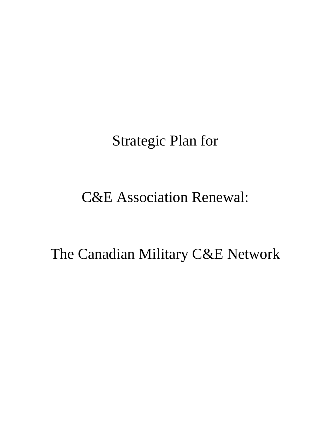Strategic Plan for

# C&E Association Renewal:

The Canadian Military C&E Network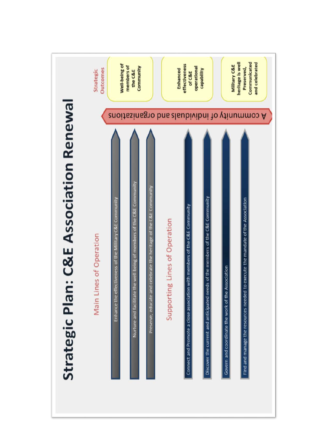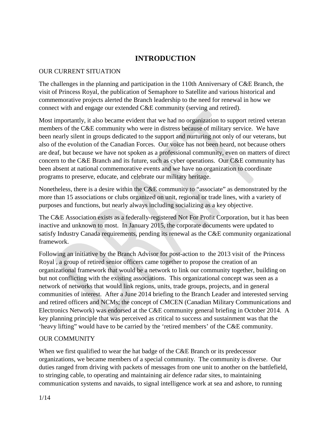# **INTRODUCTION**

#### OUR CURRENT SITUATION

The challenges in the planning and participation in the 110th Anniversary of C&E Branch, the visit of Princess Royal, the publication of Semaphore to Satellite and various historical and commemorative projects alerted the Branch leadership to the need for renewal in how we connect with and engage our extended C&E community (serving and retired).

Most importantly, it also became evident that we had no organization to support retired veteran members of the C&E community who were in distress because of military service. We have been nearly silent in groups dedicated to the support and nurturing not only of our veterans, but also of the evolution of the Canadian Forces. Our voice has not been heard, not because others are deaf, but because we have not spoken as a professional community, even on matters of direct concern to the C&E Branch and its future, such as cyber operations. Our C&E community has been absent at national commemorative events and we have no organization to coordinate programs to preserve, educate, and celebrate our military heritage.

Nonetheless, there is a desire within the C&E community to "associate" as demonstrated by the more than 15 associations or clubs organized on unit, regional or trade lines, with a variety of purposes and functions, but nearly always including socializing as a key objective.

The C&E Association exists as a federally-registered Not For Profit Corporation, but it has been inactive and unknown to most. In January 2015, the corporate documents were updated to satisfy Industry Canada requirements, pending its renewal as the C&E community organizational framework.

Following an initiative by the Branch Advisor for post-action to the 2013 visit of the Princess Royal , a group of retired senior officers came together to propose the creation of an organizational framework that would be a network to link our community together, building on but not conflicting with the existing associations. This organizational concept was seen as a network of networks that would link regions, units, trade groups, projects, and in general communities of interest. After a June 2014 briefing to the Branch Leader and interested serving and retired officers and NCMs; the concept of CMCEN (Canadian Military Communications and Electronics Network) was endorsed at the C&E community general briefing in October 2014. A key planning principle that was perceived as critical to success and sustainment was that the 'heavy lifting" would have to be carried by the 'retired members' of the C&E community.

## OUR COMMUNITY

When we first qualified to wear the hat badge of the C&E Branch or its predecessor organizations, we became members of a special community. The community is diverse. Our duties ranged from driving with packets of messages from one unit to another on the battlefield, to stringing cable, to operating and maintaining air defence radar sites, to maintaining communication systems and navaids, to signal intelligence work at sea and ashore, to running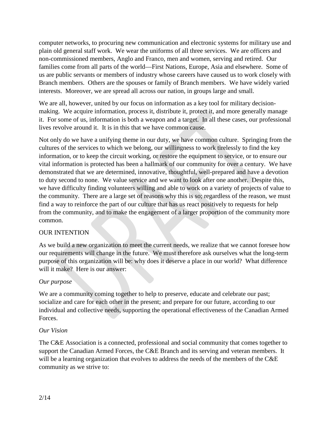computer networks, to procuring new communication and electronic systems for military use and plain old general staff work. We wear the uniforms of all three services. We are officers and non-commissioned members, Anglo and Franco, men and women, serving and retired. Our families come from all parts of the world—First Nations, Europe, Asia and elsewhere. Some of us are public servants or members of industry whose careers have caused us to work closely with Branch members. Others are the spouses or family of Branch members. We have widely varied interests. Moreover, we are spread all across our nation, in groups large and small.

We are all, however, united by our focus on information as a key tool for military decisionmaking. We acquire information, process it, distribute it, protect it, and more generally manage it. For some of us, information is both a weapon and a target. In all these cases, our professional lives revolve around it. It is in this that we have common cause.

Not only do we have a unifying theme in our duty, we have common culture. Springing from the cultures of the services to which we belong, our willingness to work tirelessly to find the key information, or to keep the circuit working, or restore the equipment to service, or to ensure our vital information is protected has been a hallmark of our community for over a century. We have demonstrated that we are determined, innovative, thoughtful, well-prepared and have a devotion to duty second to none. We value service and we want to look after one another. Despite this, we have difficulty finding volunteers willing and able to work on a variety of projects of value to the community. There are a large set of reasons why this is so; regardless of the reason, we must find a way to reinforce the part of our culture that has us react positively to requests for help from the community, and to make the engagement of a larger proportion of the community more common.

## OUR INTENTION

As we build a new organization to meet the current needs, we realize that we cannot foresee how our requirements will change in the future. We must therefore ask ourselves what the long-term purpose of this organization will be: why does it deserve a place in our world? What difference will it make? Here is our answer:

#### *Our purpose*

We are a community coming together to help to preserve, educate and celebrate our past; socialize and care for each other in the present; and prepare for our future, according to our individual and collective needs, supporting the operational effectiveness of the Canadian Armed Forces.

#### *Our Vision*

The C&E Association is a connected, professional and social community that comes together to support the Canadian Armed Forces, the C&E Branch and its serving and veteran members. It will be a learning organization that evolves to address the needs of the members of the C&E community as we strive to: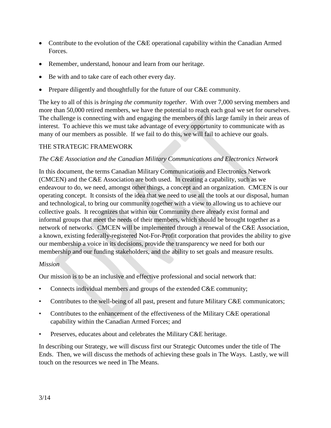- Contribute to the evolution of the C&E operational capability within the Canadian Armed Forces.
- Remember, understand, honour and learn from our heritage.
- Be with and to take care of each other every day.
- Prepare diligently and thoughtfully for the future of our C&E community.

The key to all of this is *bringing the community together*. With over 7,000 serving members and more than 50,000 retired members, we have the potential to reach each goal we set for ourselves. The challenge is connecting with and engaging the members of this large family in their areas of interest. To achieve this we must take advantage of every opportunity to communicate with as many of our members as possible. If we fail to do this, we will fail to achieve our goals.

## THE STRATEGIC FRAMEWORK

#### *The C&E Association and the Canadian Military Communications and Electronics Network*

In this document, the terms Canadian Military Communications and Electronics Network (CMCEN) and the C&E Association are both used. In creating a capability, such as we endeavour to do, we need, amongst other things, a concept and an organization. CMCEN is our operating concept. It consists of the idea that we need to use all the tools at our disposal, human and technological, to bring our community together with a view to allowing us to achieve our collective goals. It recognizes that within our Community there already exist formal and informal groups that meet the needs of their members, which should be brought together as a network of networks. CMCEN will be implemented through a renewal of the C&E Association, a known, existing federally-registered Not-For-Profit corporation that provides the ability to give our membership a voice in its decisions, provide the transparency we need for both our membership and our funding stakeholders, and the ability to set goals and measure results.

#### *Mission*

Our mission is to be an inclusive and effective professional and social network that:

- Connects individual members and groups of the extended C&E community;
- Contributes to the well-being of all past, present and future Military C&E communicators;
- Contributes to the enhancement of the effectiveness of the Military C&E operational capability within the Canadian Armed Forces; and
- Preserves, educates about and celebrates the Military C&E heritage.

In describing our Strategy, we will discuss first our Strategic Outcomes under the title of The Ends. Then, we will discuss the methods of achieving these goals in The Ways. Lastly, we will touch on the resources we need in The Means.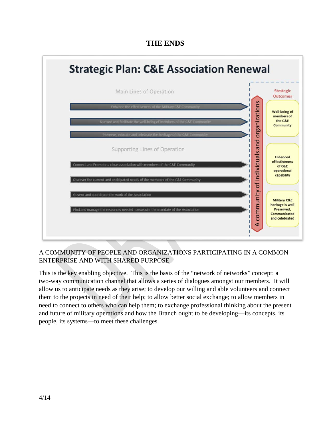# **THE ENDS**



## A COMMUNITY OF PEOPLE AND ORGANIZATIONS PARTICIPATING IN A COMMON ENTERPRISE AND WITH SHARED PURPOSE

This is the key enabling objective. This is the basis of the "network of networks" concept: a two-way communication channel that allows a series of dialogues amongst our members. It will allow us to anticipate needs as they arise; to develop our willing and able volunteers and connect them to the projects in need of their help; to allow better social exchange; to allow members in need to connect to others who can help them; to exchange professional thinking about the present and future of military operations and how the Branch ought to be developing—its concepts, its people, its systems—to meet these challenges.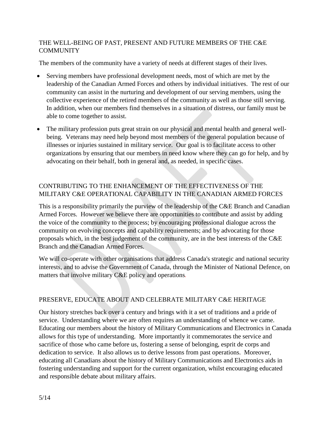## THE WELL-BEING OF PAST, PRESENT AND FUTURE MEMBERS OF THE C&E **COMMUNITY**

The members of the community have a variety of needs at different stages of their lives.

- Serving members have professional development needs, most of which are met by the leadership of the Canadian Armed Forces and others by individual initiatives. The rest of our community can assist in the nurturing and development of our serving members, using the collective experience of the retired members of the community as well as those still serving. In addition, when our members find themselves in a situation of distress, our family must be able to come together to assist.
- The military profession puts great strain on our physical and mental health and general wellbeing. Veterans may need help beyond most members of the general population because of illnesses or injuries sustained in military service. Our goal is to facilitate access to other organizations by ensuring that our members in need know where they can go for help, and by advocating on their behalf, both in general and, as needed, in specific cases.

## CONTRIBUTING TO THE ENHANCEMENT OF THE EFFECTIVENESS OF THE MILITARY C&E OPERATIONAL CAPABILITY IN THE CANADIAN ARMED FORCES

This is a responsibility primarily the purview of the leadership of the C&E Branch and Canadian Armed Forces. However we believe there are opportunities to contribute and assist by adding the voice of the community to the process; by encouraging professional dialogue across the community on evolving concepts and capability requirements; and by advocating for those proposals which, in the best judgement of the community, are in the best interests of the C&E Branch and the Canadian Armed Forces.

We will co-operate with other organisations that address Canada's strategic and national security interests, and to advise the Government of Canada, through the Minister of National Defence, on matters that involve military C&E policy and operations*.*

## PRESERVE, EDUCATE ABOUT AND CELEBRATE MILITARY C&E HERITAGE

Our history stretches back over a century and brings with it a set of traditions and a pride of service. Understanding where we are often requires an understanding of whence we came. Educating our members about the history of Military Communications and Electronics in Canada allows for this type of understanding. More importantly it commemorates the service and sacrifice of those who came before us, fostering a sense of belonging, esprit de corps and dedication to service. It also allows us to derive lessons from past operations. Moreover, educating all Canadians about the history of Military Communications and Electronics aids in fostering understanding and support for the current organization, whilst encouraging educated and responsible debate about military affairs.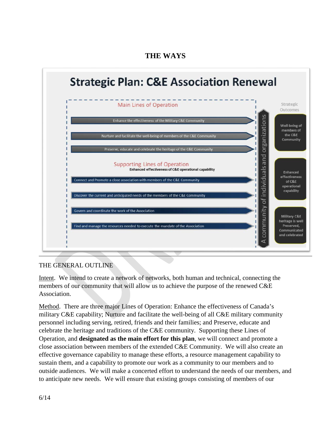



# THE GENERAL OUTLINE

Intent. We intend to create a network of networks, both human and technical, connecting the members of our community that will allow us to achieve the purpose of the renewed C&E Association.

Method. There are three major Lines of Operation: Enhance the effectiveness of Canada's military C&E capability; Nurture and facilitate the well-being of all C&E military community personnel including serving, retired, friends and their families; and Preserve, educate and celebrate the heritage and traditions of the C&E community. Supporting these Lines of Operation, and **designated as the main effort for this plan**, we will connect and promote a close association between members of the extended C&E Community. We will also create an effective governance capability to manage these efforts, a resource management capability to sustain them, and a capability to promote our work as a community to our members and to outside audiences. We will make a concerted effort to understand the needs of our members, and to anticipate new needs. We will ensure that existing groups consisting of members of our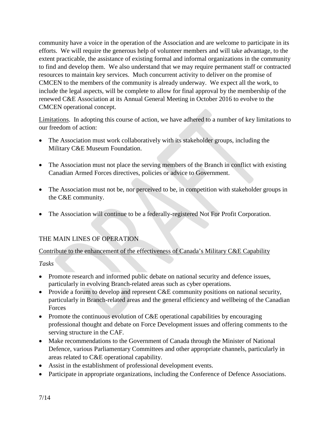community have a voice in the operation of the Association and are welcome to participate in its efforts. We will require the generous help of volunteer members and will take advantage, to the extent practicable, the assistance of existing formal and informal organizations in the community to find and develop them. We also understand that we may require permanent staff or contracted resources to maintain key services. Much concurrent activity to deliver on the promise of CMCEN to the members of the community is already underway. We expect all the work, to include the legal aspects, will be complete to allow for final approval by the membership of the renewed C&E Association at its Annual General Meeting in October 2016 to evolve to the CMCEN operational concept.

Limitations. In adopting this course of action, we have adhered to a number of key limitations to our freedom of action:

- The Association must work collaboratively with its stakeholder groups, including the Military C&E Museum Foundation.
- The Association must not place the serving members of the Branch in conflict with existing Canadian Armed Forces directives, policies or advice to Government.
- The Association must not be, nor perceived to be, in competition with stakeholder groups in the C&E community.
- The Association will continue to be a federally-registered Not For Profit Corporation.

## THE MAIN LINES OF OPERATION

## Contribute to the enhancement of the effectiveness of Canada's Military C&E Capability

## *Tasks*

- Promote research and informed public debate on national security and defence issues, particularly in evolving Branch-related areas such as cyber operations.
- Provide a forum to develop and represent C&E community positions on national security, particularly in Branch-related areas and the general efficiency and wellbeing of the Canadian Forces
- Promote the continuous evolution of C&E operational capabilities by encouraging professional thought and debate on Force Development issues and offering comments to the serving structure in the CAF.
- Make recommendations to the Government of Canada through the Minister of National Defence, various Parliamentary Committees and other appropriate channels, particularly in areas related to C&E operational capability.
- Assist in the establishment of professional development events.
- Participate in appropriate organizations, including the Conference of Defence Associations.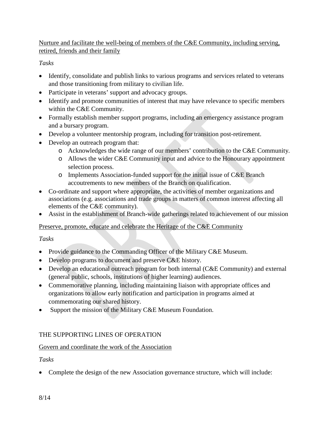Nurture and facilitate the well-being of members of the C&E Community, including serving, retired, friends and their family

## *Tasks*

- Identify, consolidate and publish links to various programs and services related to veterans and those transitioning from military to civilian life.
- Participate in veterans' support and advocacy groups.
- Identify and promote communities of interest that may have relevance to specific members within the C&E Community.
- Formally establish member support programs, including an emergency assistance program and a bursary program.
- Develop a volunteer mentorship program, including for transition post-retirement.
- Develop an outreach program that:
	- o Acknowledges the wide range of our members' contribution to the C&E Community.
	- o Allows the wider C&E Community input and advice to the Honourary appointment selection process.
	- o Implements Association-funded support for the initial issue of C&E Branch accoutrements to new members of the Branch on qualification.
- Co-ordinate and support where appropriate, the activities of member organizations and associations (e.g. associations and trade groups in matters of common interest affecting all elements of the C&E community).
- Assist in the establishment of Branch-wide gatherings related to achievement of our mission

## Preserve, promote, educate and celebrate the Heritage of the C&E Community

## *Tasks*

- Provide guidance to the Commanding Officer of the Military C&E Museum.
- Develop programs to document and preserve C&E history.
- Develop an educational outreach program for both internal (C&E Community) and external (general public, schools, institutions of higher learning) audiences.
- Commemorative planning, including maintaining liaison with appropriate offices and organizations to allow early notification and participation in programs aimed at commemorating our shared history.
- Support the mission of the Military C&E Museum Foundation.

## THE SUPPORTING LINES OF OPERATION

## Govern and coordinate the work of the Association

## *Tasks*

• Complete the design of the new Association governance structure, which will include: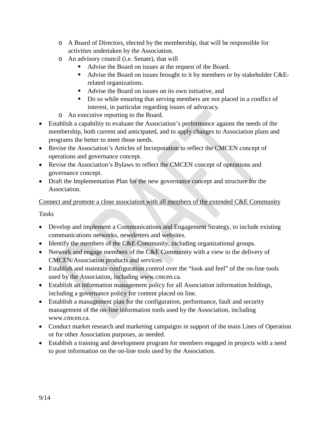- o A Board of Directors, elected by the membership, that will be responsible for activities undertaken by the Association.
- o An advisory council (i.e. Senate), that will
	- Advise the Board on issues at the request of the Board.
	- Advise the Board on issues brought to it by members or by stakeholder C&Erelated organizations.
	- Advise the Board on issues on its own initiative, and
	- Do so while ensuring that serving members are not placed in a conflict of interest, in particular regarding issues of advocacy.
- o An executive reporting to the Board.
- Establish a capability to evaluate the Association's performance against the needs of the membership, both current and anticipated, and to apply changes to Association plans and programs the better to meet those needs.
- Revise the Association's Articles of Incorporation to reflect the CMCEN concept of operations and governance concept.
- Revise the Association's Bylaws to reflect the CMCEN concept of operations and governance concept.
- Draft the Implementation Plan for the new governance concept and structure for the Association.

# Connect and promote a close association with all members of the extended C&E Community

*Tasks*

- Develop and implement a Communications and Engagement Strategy, to include existing communications networks, newsletters and websites.
- Identify the members of the C&E Community, including organizational groups.
- Network and engage members of the C&E Community with a view to the delivery of CMCEN/Association products and services.
- Establish and maintain configuration control over the "look and feel" of the on-line tools used by the Association, including www.cmcen.ca.
- Establish an information management policy for all Association information holdings, including a governance policy for content placed on line.
- Establish a management plan for the configuration, performance, fault and security management of the on-line information tools used by the Association, including www.cmcen.ca.
- Conduct market research and marketing campaigns in support of the main Lines of Operation or for other Association purposes, as needed.
- Establish a training and development program for members engaged in projects with a need to post information on the on-line tools used by the Association.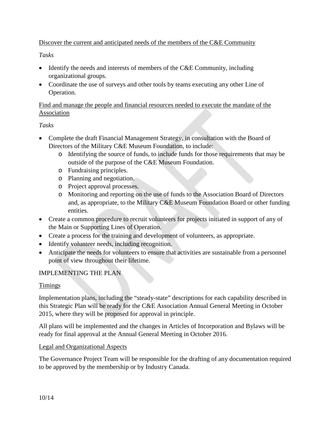## Discover the current and anticipated needs of the members of the C&E Community

## *Tasks*

- Identify the needs and interests of members of the C&E Community, including organizational groups.
- Coordinate the use of surveys and other tools by teams executing any other Line of Operation.

## Find and manage the people and financial resources needed to execute the mandate of the Association

## *Tasks*

- Complete the draft Financial Management Strategy, in consultation with the Board of Directors of the Military C&E Museum Foundation, to include:
	- o Identifying the source of funds, to include funds for those requirements that may be outside of the purpose of the C&E Museum Foundation.
	- o Fundraising principles.
	- o Planning and negotiation.
	- o Project approval processes.
	- o Monitoring and reporting on the use of funds to the Association Board of Directors and, as appropriate, to the Military C&E Museum Foundation Board or other funding entities.
- Create a common procedure to recruit volunteers for projects initiated in support of any of the Main or Supporting Lines of Operation.
- Create a process for the training and development of volunteers, as appropriate.
- Identify volunteer needs, including recognition.
- Anticipate the needs for volunteers to ensure that activities are sustainable from a personnel point of view throughout their lifetime.

## IMPLEMENTING THE PLAN

## Timings

Implementation plans, including the "steady-state" descriptions for each capability described in this Strategic Plan will be ready for the C&E Association Annual General Meeting in October 2015, where they will be proposed for approval in principle.

All plans will be implemented and the changes in Articles of Incorporation and Bylaws will be ready for final approval at the Annual General Meeting in October 2016.

## Legal and Organizational Aspects

The Governance Project Team will be responsible for the drafting of any documentation required to be approved by the membership or by Industry Canada.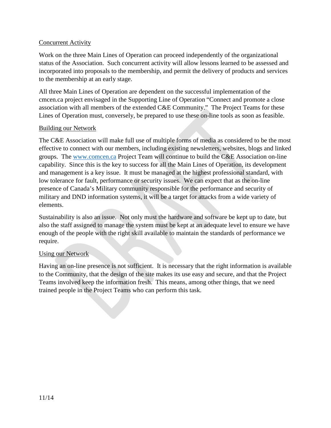#### Concurrent Activity

Work on the three Main Lines of Operation can proceed independently of the organizational status of the Association. Such concurrent activity will allow lessons learned to be assessed and incorporated into proposals to the membership, and permit the delivery of products and services to the membership at an early stage.

All three Main Lines of Operation are dependent on the successful implementation of the cmcen.ca project envisaged in the Supporting Line of Operation "Connect and promote a close association with all members of the extended C&E Community." The Project Teams for these Lines of Operation must, conversely, be prepared to use these on-line tools as soon as feasible.

## Building our Network

The C&E Association will make full use of multiple forms of media as considered to be the most effective to connect with our members, including existing newsletters, websites, blogs and linked groups. The [www.comcen.ca](http://www.comcen.ca/) Project Team will continue to build the C&E Association on-line capability. Since this is the key to success for all the Main Lines of Operation, its development and management is a key issue. It must be managed at the highest professional standard, with low tolerance for fault, performance or security issues. We can expect that as the on-line presence of Canada's Military community responsible for the performance and security of military and DND information systems, it will be a target for attacks from a wide variety of elements.

Sustainability is also an issue. Not only must the hardware and software be kept up to date, but also the staff assigned to manage the system must be kept at an adequate level to ensure we have enough of the people with the right skill available to maintain the standards of performance we require.

## Using our Network

Having an on-line presence is not sufficient. It is necessary that the right information is available to the Community, that the design of the site makes its use easy and secure, and that the Project Teams involved keep the information fresh. This means, among other things, that we need trained people in the Project Teams who can perform this task.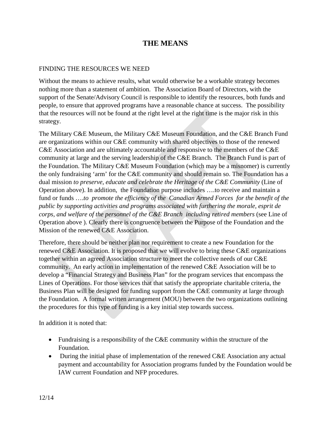# **THE MEANS**

#### FINDING THE RESOURCES WE NEED

Without the means to achieve results, what would otherwise be a workable strategy becomes nothing more than a statement of ambition. The Association Board of Directors, with the support of the Senate/Advisory Council is responsible to identify the resources, both funds and people, to ensure that approved programs have a reasonable chance at success. The possibility that the resources will not be found at the right level at the right time is the major risk in this strategy.

The Military C&E Museum, the Military C&E Museum Foundation, and the C&E Branch Fund are organizations within our C&E community with shared objectives to those of the renewed C&E Association and are ultimately accountable and responsive to the members of the C&E community at large and the serving leadership of the C&E Branch. The Branch Fund is part of the Foundation. The Military C&E Museum Foundation (which may be a misnomer) is currently the only fundraising 'arm' for the C&E community and should remain so. The Foundation has a dual mission *to preserve, educate and celebrate the Heritage of the C&E Community* (Line of Operation above). In addition, the Foundation purpose includes ….to receive and maintain a fund or funds ….*to promote the efficiency of the Canadian Armed Forces for the benefit of the public by supporting activities and programs associated with furthering the morale, esprit de corps, and welfare of the personnel of the C&E Branch including retired members* (see Line of Operation above ). Clearly there is congruence between the Purpose of the Foundation and the Mission of the renewed C&E Association.

Therefore, there should be neither plan nor requirement to create a new Foundation for the renewed C&E Association. It is proposed that we will evolve to bring these C&E organizations together within an agreed Association structure to meet the collective needs of our C&E community. An early action in implementation of the renewed C&E Association will be to develop a "Financial Strategy and Business Plan" for the program services that encompass the Lines of Operations. For those services that that satisfy the appropriate charitable criteria, the Business Plan will be designed for funding support from the C&E community at large through the Foundation. A formal written arrangement (MOU) between the two organizations outlining the procedures for this type of funding is a key initial step towards success.

In addition it is noted that:

- Fundraising is a responsibility of the C&E community within the structure of the Foundation.
- During the initial phase of implementation of the renewed C&E Association any actual payment and accountability for Association programs funded by the Foundation would be IAW current Foundation and NFP procedures.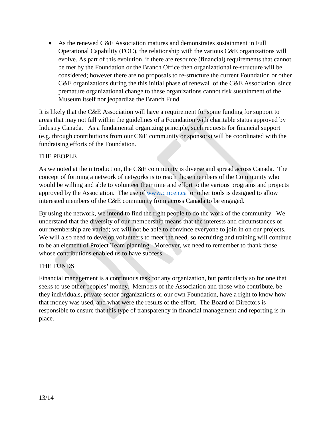• As the renewed C&E Association matures and demonstrates sustainment in Full Operational Capability (FOC), the relationship with the various C&E organizations will evolve. As part of this evolution, if there are resource (financial) requirements that cannot be met by the Foundation or the Branch Office then organizational re-structure will be considered; however there are no proposals to re-structure the current Foundation or other C&E organizations during the this initial phase of renewal of the C&E Association, since premature organizational change to these organizations cannot risk sustainment of the Museum itself nor jeopardize the Branch Fund

It is likely that the C&E Association will have a requirement for some funding for support to areas that may not fall within the guidelines of a Foundation with charitable status approved by Industry Canada. As a fundamental organizing principle, such requests for financial support (e.g. through contributions from our C&E community or sponsors) will be coordinated with the fundraising efforts of the Foundation.

## THE PEOPLE

As we noted at the introduction, the C&E community is diverse and spread across Canada. The concept of forming a network of networks is to reach those members of the Community who would be willing and able to volunteer their time and effort to the various programs and projects approved by the Association. The use of [www.cmcen.ca](http://www.cmcen.ca/) or other tools is designed to allow interested members of the C&E community from across Canada to be engaged.

By using the network, we intend to find the right people to do the work of the community. We understand that the diversity of our membership means that the interests and circumstances of our membership are varied; we will not be able to convince everyone to join in on our projects. We will also need to develop volunteers to meet the need, so recruiting and training will continue to be an element of Project Team planning. Moreover, we need to remember to thank those whose contributions enabled us to have success.

## THE FUNDS

Financial management is a continuous task for any organization, but particularly so for one that seeks to use other peoples' money. Members of the Association and those who contribute, be they individuals, private sector organizations or our own Foundation, have a right to know how that money was used, and what were the results of the effort. The Board of Directors is responsible to ensure that this type of transparency in financial management and reporting is in place.